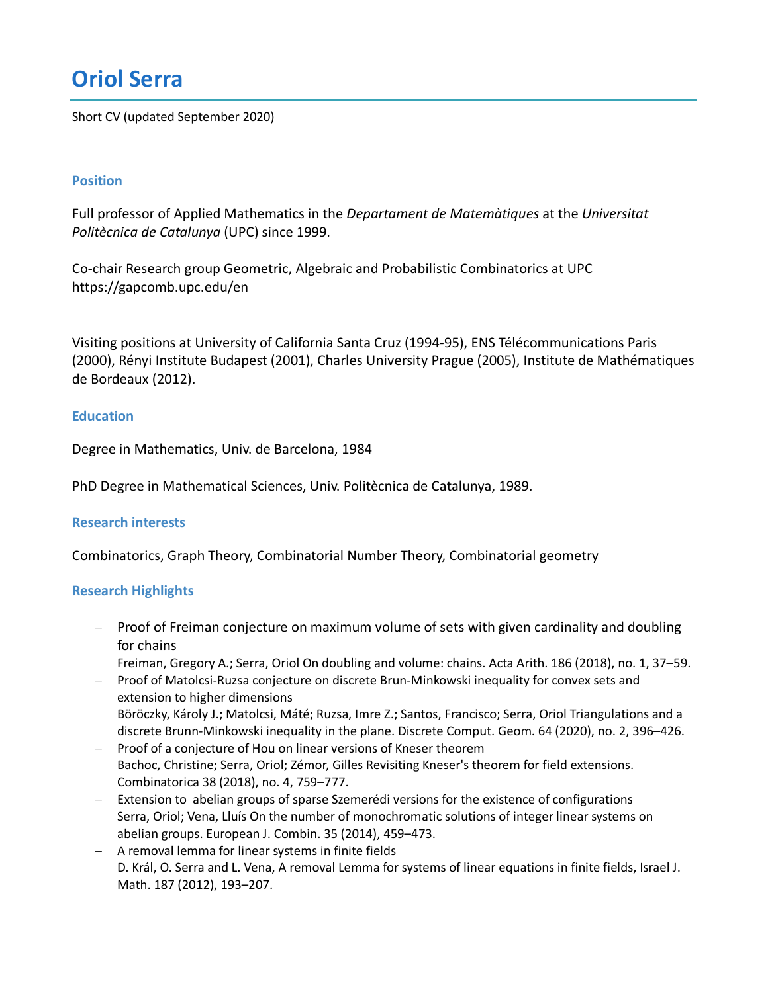# **Oriol Serra**

Short CV (updated September 2020)

#### **Position**

Full professor of Applied Mathematics in the *Departament de Matemàtiques* at the *Universitat Politècnica de Catalunya* (UPC) since 1999.

Co-chair Research group Geometric, Algebraic and Probabilistic Combinatorics at UPC https://gapcomb.upc.edu/en

Visiting positions at University of California Santa Cruz (1994-95), ENS Télécommunications Paris (2000), Rényi Institute Budapest (2001), Charles University Prague (2005), Institute de Mathématiques de Bordeaux (2012).

#### **Education**

Degree in Mathematics, Univ. de Barcelona, 1984

PhD Degree in Mathematical Sciences, Univ. Politècnica de Catalunya, 1989.

#### **Research interests**

Combinatorics, Graph Theory, Combinatorial Number Theory, Combinatorial geometry

#### **Research Highlights**

- Proof of Freiman conjecture on maximum volume of sets with given cardinality and doubling for chains
- Freiman, Gregory A.; Serra, Oriol On doubling and volume: chains. Acta Arith. 186 (2018), no. 1, 37–59. - Proof of Matolcsi-Ruzsa conjecture on discrete Brun-Minkowski inequality for convex sets and
- extension to higher dimensions Böröczky, Károly J.; Matolcsi, Máté; Ruzsa, Imre Z.; Santos, Francisco; Serra, Oriol Triangulations and a discrete Brunn-Minkowski inequality in the plane. Discrete Comput. Geom. 64 (2020), no. 2, 396–426.
- Proof of a conjecture of Hou on linear versions of Kneser theorem Bachoc, Christine; Serra, Oriol; Zémor, Gilles Revisiting Kneser's theorem for field extensions. Combinatorica 38 (2018), no. 4, 759–777.
- Extension to abelian groups of sparse Szemerédi versions for the existence of configurations Serra, Oriol; Vena, Lluís On the number of monochromatic solutions of integer linear systems on abelian groups. European J. Combin. 35 (2014), 459–473.
- A removal lemma for linear systems in finite fields D. Král, O. Serra and L. Vena, A removal Lemma for systems of linear equations in finite fields, Israel J. Math. 187 (2012), 193–207.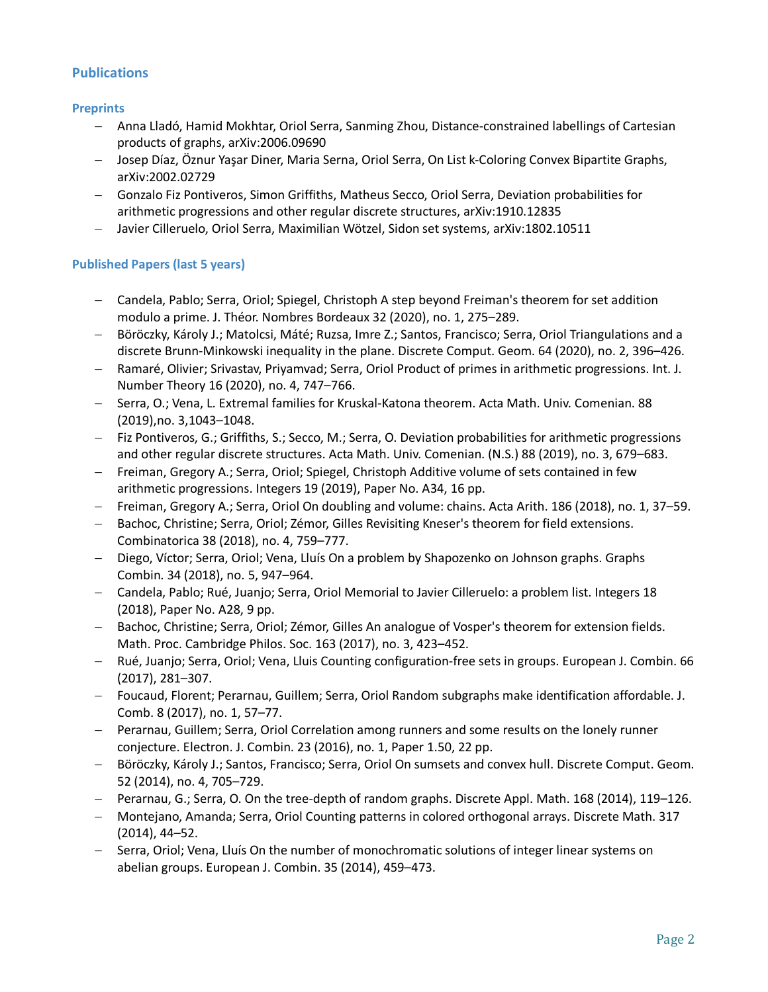## **Publications**

#### **Preprints**

- Anna Lladó, Hamid Mokhtar, Oriol Serra, Sanming Zhou, Distance-constrained labellings of Cartesian products of graphs, arXiv:2006.09690
- Josep Díaz, Öznur Yaşar Diner, Maria Serna, Oriol Serra, On List k-Coloring Convex Bipartite Graphs, arXiv:2002.02729
- Gonzalo Fiz Pontiveros, Simon Griffiths, Matheus Secco, Oriol Serra, Deviation probabilities for arithmetic progressions and other regular discrete structures, arXiv:1910.12835
- Javier Cilleruelo, Oriol Serra, Maximilian Wötzel, Sidon set systems, arXiv:1802.10511

#### **Published Papers (last 5 years)**

- Candela, Pablo; Serra, Oriol; Spiegel, Christoph A step beyond Freiman's theorem for set addition modulo a prime. J. Théor. Nombres Bordeaux 32 (2020), no. 1, 275–289.
- Böröczky, Károly J.; Matolcsi, Máté; Ruzsa, Imre Z.; Santos, Francisco; Serra, Oriol Triangulations and a discrete Brunn-Minkowski inequality in the plane. Discrete Comput. Geom. 64 (2020), no. 2, 396–426.
- Ramaré, Olivier; Srivastav, Priyamvad; Serra, Oriol Product of primes in arithmetic progressions. Int. J. Number Theory 16 (2020), no. 4, 747–766.
- Serra, O.; Vena, L. Extremal families for Kruskal-Katona theorem. Acta Math. Univ. Comenian. 88 (2019),no. 3,1043–1048.
- Fiz Pontiveros, G.; Griffiths, S.; Secco, M.; Serra, O. Deviation probabilities for arithmetic progressions and other regular discrete structures. Acta Math. Univ. Comenian. (N.S.) 88 (2019), no. 3, 679–683.
- Freiman, Gregory A.; Serra, Oriol; Spiegel, Christoph Additive volume of sets contained in few arithmetic progressions. Integers 19 (2019), Paper No. A34, 16 pp.
- Freiman, Gregory A.; Serra, Oriol On doubling and volume: chains. Acta Arith. 186 (2018), no. 1, 37–59.
- Bachoc, Christine; Serra, Oriol; Zémor, Gilles Revisiting Kneser's theorem for field extensions. Combinatorica 38 (2018), no. 4, 759–777.
- Diego, Víctor; Serra, Oriol; Vena, Lluís On a problem by Shapozenko on Johnson graphs. Graphs Combin. 34 (2018), no. 5, 947–964.
- Candela, Pablo; Rué, Juanjo; Serra, Oriol Memorial to Javier Cilleruelo: a problem list. Integers 18 (2018), Paper No. A28, 9 pp.
- Bachoc, Christine; Serra, Oriol; Zémor, Gilles An analogue of Vosper's theorem for extension fields. Math. Proc. Cambridge Philos. Soc. 163 (2017), no. 3, 423–452.
- Rué, Juanjo; Serra, Oriol; Vena, Lluis Counting configuration-free sets in groups. European J. Combin. 66 (2017), 281–307.
- Foucaud, Florent; Perarnau, Guillem; Serra, Oriol Random subgraphs make identification affordable. J. Comb. 8 (2017), no. 1, 57–77.
- Perarnau, Guillem; Serra, Oriol Correlation among runners and some results on the lonely runner conjecture. Electron. J. Combin. 23 (2016), no. 1, Paper 1.50, 22 pp.
- Böröczky, Károly J.; Santos, Francisco; Serra, Oriol On sumsets and convex hull. Discrete Comput. Geom. 52 (2014), no. 4, 705–729.
- Perarnau, G.; Serra, O. On the tree-depth of random graphs. Discrete Appl. Math. 168 (2014), 119–126.
- Montejano, Amanda; Serra, Oriol Counting patterns in colored orthogonal arrays. Discrete Math. 317 (2014), 44–52.
- Serra, Oriol; Vena, Lluís On the number of monochromatic solutions of integer linear systems on abelian groups. European J. Combin. 35 (2014), 459–473.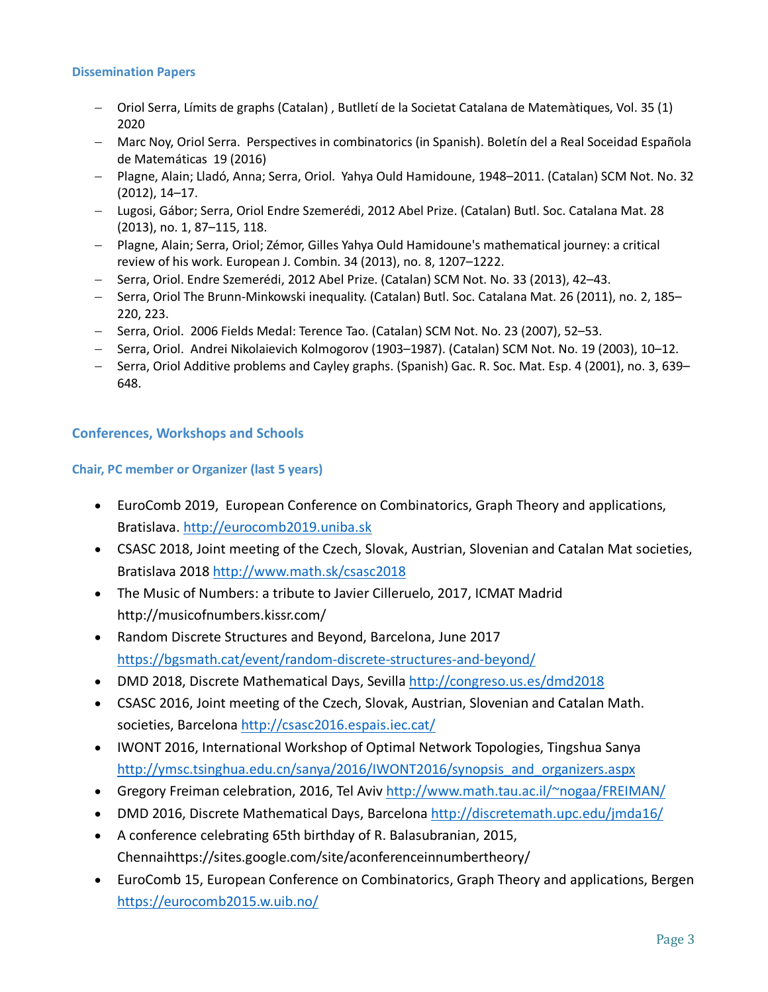#### **Dissemination Papers**

- Oriol Serra, Límits de graphs (Catalan) , Butlletí de la Societat Catalana de Matemàtiques, Vol. 35 (1) 2020
- Marc Noy, Oriol Serra. Perspectives in combinatorics (in Spanish). Boletín del a Real Soceidad Española de Matemáticas 19 (2016)
- Plagne, Alain; Lladó, Anna; Serra, Oriol. Yahya Ould Hamidoune, 1948–2011. (Catalan) SCM Not. No. 32 (2012), 14–17.
- Lugosi, Gábor; Serra, Oriol Endre Szemerédi, 2012 Abel Prize. (Catalan) Butl. Soc. Catalana Mat. 28 (2013), no. 1, 87–115, 118.
- Plagne, Alain; Serra, Oriol; Zémor, Gilles Yahya Ould Hamidoune's mathematical journey: a critical review of his work. European J. Combin. 34 (2013), no. 8, 1207–1222.
- Serra, Oriol. Endre Szemerédi, 2012 Abel Prize. (Catalan) SCM Not. No. 33 (2013), 42–43.
- Serra, Oriol The Brunn-Minkowski inequality. (Catalan) Butl. Soc. Catalana Mat. 26 (2011), no. 2, 185– 220, 223.
- Serra, Oriol. 2006 Fields Medal: Terence Tao. (Catalan) SCM Not. No. 23 (2007), 52–53.
- Serra, Oriol. Andrei Nikolaievich Kolmogorov (1903–1987). (Catalan) SCM Not. No. 19 (2003), 10–12.
- Serra, Oriol Additive problems and Cayley graphs. (Spanish) Gac. R. Soc. Mat. Esp. 4 (2001), no. 3, 639– 648.

## **Conferences, Workshops and Schools**

#### **Chair, PC member or Organizer (last 5 years)**

- EuroComb 2019, European Conference on Combinatorics, Graph Theory and applications, Bratislava. http://eurocomb2019.uniba.sk
- CSASC 2018, Joint meeting of the Czech, Slovak, Austrian, Slovenian and Catalan Mat societies, Bratislava 2018 http://www.math.sk/csasc2018
- The Music of Numbers: a tribute to Javier Cilleruelo, 2017, ICMAT Madrid http://musicofnumbers.kissr.com/
- Random Discrete Structures and Beyond, Barcelona, June 2017 https://bgsmath.cat/event/random-discrete-structures-and-beyond/
- DMD 2018, Discrete Mathematical Days, Sevilla http://congreso.us.es/dmd2018
- CSASC 2016, Joint meeting of the Czech, Slovak, Austrian, Slovenian and Catalan Math. societies, Barcelona http://csasc2016.espais.iec.cat/
- IWONT 2016, International Workshop of Optimal Network Topologies, Tingshua Sanya http://ymsc.tsinghua.edu.cn/sanya/2016/IWONT2016/synopsis\_and\_organizers.aspx
- Gregory Freiman celebration, 2016, Tel Aviv http://www.math.tau.ac.il/~nogaa/FREIMAN/
- DMD 2016, Discrete Mathematical Days, Barcelona http://discretemath.upc.edu/jmda16/
- A conference celebrating 65th birthday of R. Balasubranian, 2015, Chennaihttps://sites.google.com/site/aconferenceinnumbertheory/
- EuroComb 15, European Conference on Combinatorics, Graph Theory and applications, Bergen https://eurocomb2015.w.uib.no/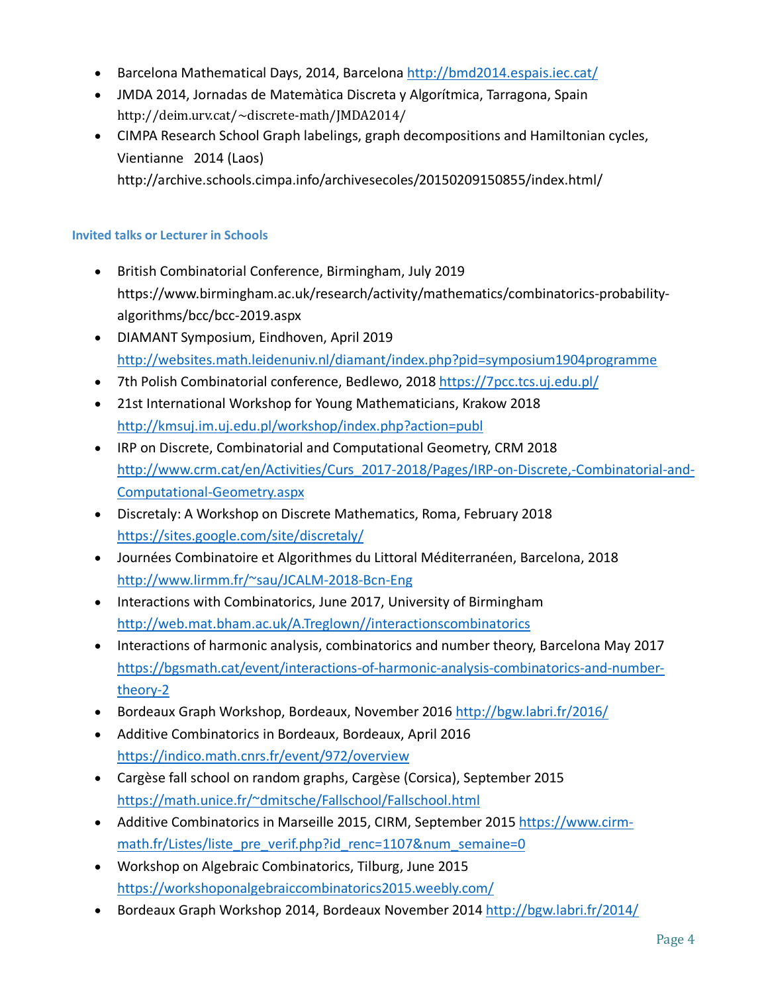- Barcelona Mathematical Days, 2014, Barcelona http://bmd2014.espais.iec.cat/
- JMDA 2014, Jornadas de Matemàtica Discreta y Algorítmica, Tarragona, Spain http://deim.urv.cat/~discrete-math/JMDA2014/
- CIMPA Research School Graph labelings, graph decompositions and Hamiltonian cycles, Vientianne 2014 (Laos)

http://archive.schools.cimpa.info/archivesecoles/20150209150855/index.html/

#### **Invited talks or Lecturer in Schools**

- British Combinatorial Conference, Birmingham, July 2019 https://www.birmingham.ac.uk/research/activity/mathematics/combinatorics-probabilityalgorithms/bcc/bcc-2019.aspx
- DIAMANT Symposium, Eindhoven, April 2019 http://websites.math.leidenuniv.nl/diamant/index.php?pid=symposium1904programme
- 7th Polish Combinatorial conference, Bedlewo, 2018 https://7pcc.tcs.uj.edu.pl/
- 21st International Workshop for Young Mathematicians, Krakow 2018 http://kmsuj.im.uj.edu.pl/workshop/index.php?action=publ
- IRP on Discrete, Combinatorial and Computational Geometry, CRM 2018 http://www.crm.cat/en/Activities/Curs\_2017-2018/Pages/IRP-on-Discrete,-Combinatorial-and-Computational-Geometry.aspx
- Discretaly: A Workshop on Discrete Mathematics, Roma, February 2018 https://sites.google.com/site/discretaly/
- Journées Combinatoire et Algorithmes du Littoral Méditerranéen, Barcelona, 2018 http://www.lirmm.fr/~sau/JCALM-2018-Bcn-Eng
- Interactions with Combinatorics, June 2017, University of Birmingham http://web.mat.bham.ac.uk/A.Treglown//interactionscombinatorics
- Interactions of harmonic analysis, combinatorics and number theory, Barcelona May 2017 https://bgsmath.cat/event/interactions-of-harmonic-analysis-combinatorics-and-numbertheory-2
- Bordeaux Graph Workshop, Bordeaux, November 2016 http://bgw.labri.fr/2016/
- Additive Combinatorics in Bordeaux, Bordeaux, April 2016 https://indico.math.cnrs.fr/event/972/overview
- Cargèse fall school on random graphs, Cargèse (Corsica), September 2015 https://math.unice.fr/~dmitsche/Fallschool/Fallschool.html
- Additive Combinatorics in Marseille 2015, CIRM, September 2015 https://www.cirmmath.fr/Listes/liste\_pre\_verif.php?id\_renc=1107&num\_semaine=0
- Workshop on Algebraic Combinatorics, Tilburg, June 2015 https://workshoponalgebraiccombinatorics2015.weebly.com/
- Bordeaux Graph Workshop 2014, Bordeaux November 2014 http://bgw.labri.fr/2014/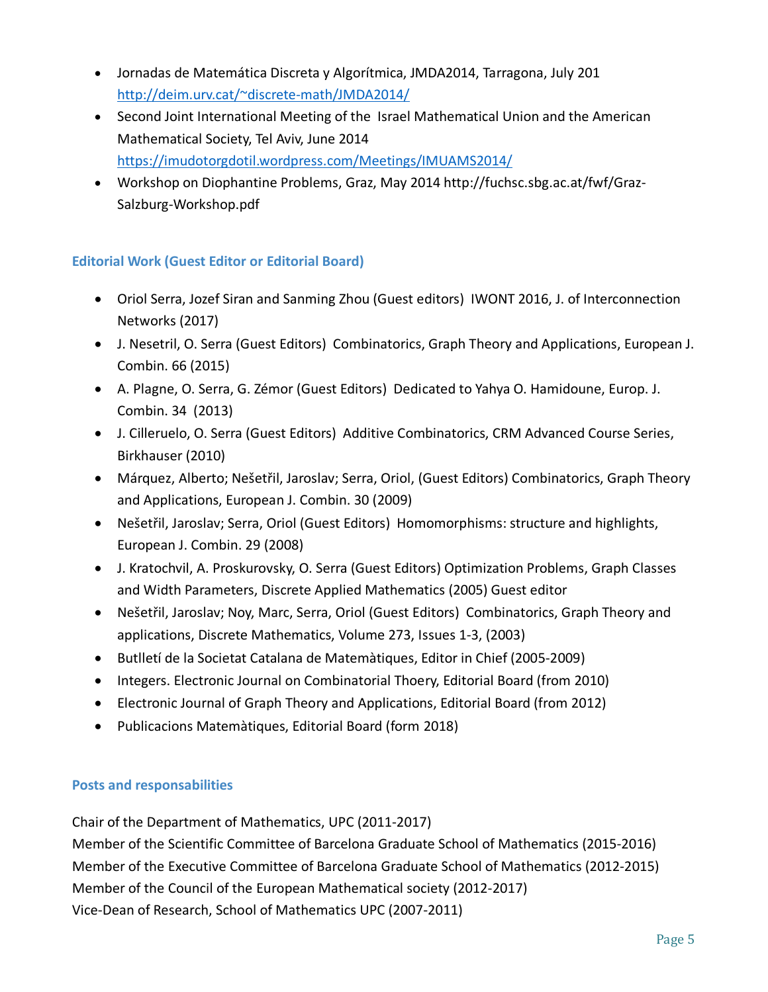- Jornadas de Matemática Discreta y Algorítmica, JMDA2014, Tarragona, July 201 http://deim.urv.cat/~discrete-math/JMDA2014/
- Second Joint International Meeting of the Israel Mathematical Union and the American Mathematical Society, Tel Aviv, June 2014 https://imudotorgdotil.wordpress.com/Meetings/IMUAMS2014/
- Workshop on Diophantine Problems, Graz, May 2014 http://fuchsc.sbg.ac.at/fwf/Graz-Salzburg-Workshop.pdf

# **Editorial Work (Guest Editor or Editorial Board)**

- Oriol Serra, Jozef Siran and Sanming Zhou (Guest editors) IWONT 2016, J. of Interconnection Networks (2017)
- J. Nesetril, O. Serra (Guest Editors) Combinatorics, Graph Theory and Applications, European J. Combin. 66 (2015)
- A. Plagne, O. Serra, G. Zémor (Guest Editors) Dedicated to Yahya O. Hamidoune, Europ. J. Combin. 34 (2013)
- J. Cilleruelo, O. Serra (Guest Editors) Additive Combinatorics, CRM Advanced Course Series, Birkhauser (2010)
- Márquez, Alberto; Nešetřil, Jaroslav; Serra, Oriol, (Guest Editors) Combinatorics, Graph Theory and Applications, European J. Combin. 30 (2009)
- Nešetřil, Jaroslav; Serra, Oriol (Guest Editors) Homomorphisms: structure and highlights, European J. Combin. 29 (2008)
- J. Kratochvil, A. Proskurovsky, O. Serra (Guest Editors) Optimization Problems, Graph Classes and Width Parameters, Discrete Applied Mathematics (2005) Guest editor
- Nešetřil, Jaroslav; Noy, Marc, Serra, Oriol (Guest Editors) Combinatorics, Graph Theory and applications, Discrete Mathematics, Volume 273, Issues 1-3, (2003)
- Butlletí de la Societat Catalana de Matemàtiques, Editor in Chief (2005-2009)
- Integers. Electronic Journal on Combinatorial Thoery, Editorial Board (from 2010)
- Electronic Journal of Graph Theory and Applications, Editorial Board (from 2012)
- Publicacions Matemàtiques, Editorial Board (form 2018)

# **Posts and responsabilities**

Chair of the Department of Mathematics, UPC (2011-2017)

Member of the Scientific Committee of Barcelona Graduate School of Mathematics (2015-2016) Member of the Executive Committee of Barcelona Graduate School of Mathematics (2012-2015) Member of the Council of the European Mathematical society (2012-2017) Vice-Dean of Research, School of Mathematics UPC (2007-2011)